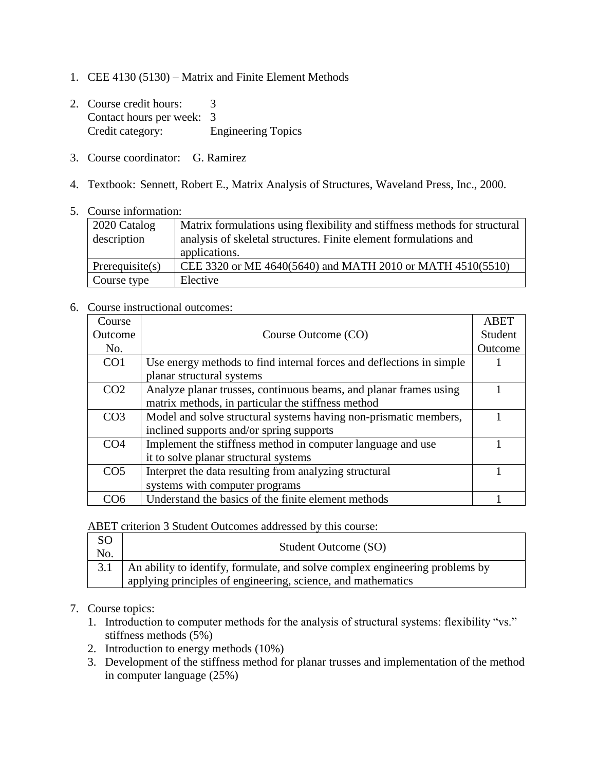- 1. CEE 4130 (5130) Matrix and Finite Element Methods
- 2. Course credit hours: 3 Contact hours per week: 3 Credit category: Engineering Topics
- 3. Course coordinator: G. Ramirez
- 4. Textbook: Sennett, Robert E., Matrix Analysis of Structures, Waveland Press, Inc., 2000.
- 5. Course information:

| 2020 Catalog<br>description | Matrix formulations using flexibility and stiffness methods for structural<br>analysis of skeletal structures. Finite element formulations and<br>applications. |
|-----------------------------|-----------------------------------------------------------------------------------------------------------------------------------------------------------------|
| Prerequires(s)              | CEE 3320 or ME 4640(5640) and MATH 2010 or MATH 4510(5510)                                                                                                      |
| Course type                 | Elective                                                                                                                                                        |

6. Course instructional outcomes:

| Course          |                                                                      | <b>ABET</b> |
|-----------------|----------------------------------------------------------------------|-------------|
| Outcome         | Course Outcome (CO)                                                  | Student     |
| No.             |                                                                      | Outcome     |
| CO <sub>1</sub> | Use energy methods to find internal forces and deflections in simple |             |
|                 | planar structural systems                                            |             |
| CO <sub>2</sub> | Analyze planar trusses, continuous beams, and planar frames using    |             |
|                 | matrix methods, in particular the stiffness method                   |             |
| CO <sub>3</sub> | Model and solve structural systems having non-prismatic members,     |             |
|                 | inclined supports and/or spring supports                             |             |
| CO <sub>4</sub> | Implement the stiffness method in computer language and use          |             |
|                 | it to solve planar structural systems                                |             |
| CO <sub>5</sub> | Interpret the data resulting from analyzing structural               |             |
|                 | systems with computer programs                                       |             |
| ිO6             | Understand the basics of the finite element methods                  |             |

ABET criterion 3 Student Outcomes addressed by this course:

| <sub>SO</sub><br>No. | Student Outcome (SO)                                                               |
|----------------------|------------------------------------------------------------------------------------|
|                      | 3.1   An ability to identify, formulate, and solve complex engineering problems by |
|                      | applying principles of engineering, science, and mathematics                       |

## 7. Course topics:

- 1. Introduction to computer methods for the analysis of structural systems: flexibility "vs." stiffness methods (5%)
- 2. Introduction to energy methods (10%)
- 3. Development of the stiffness method for planar trusses and implementation of the method in computer language (25%)